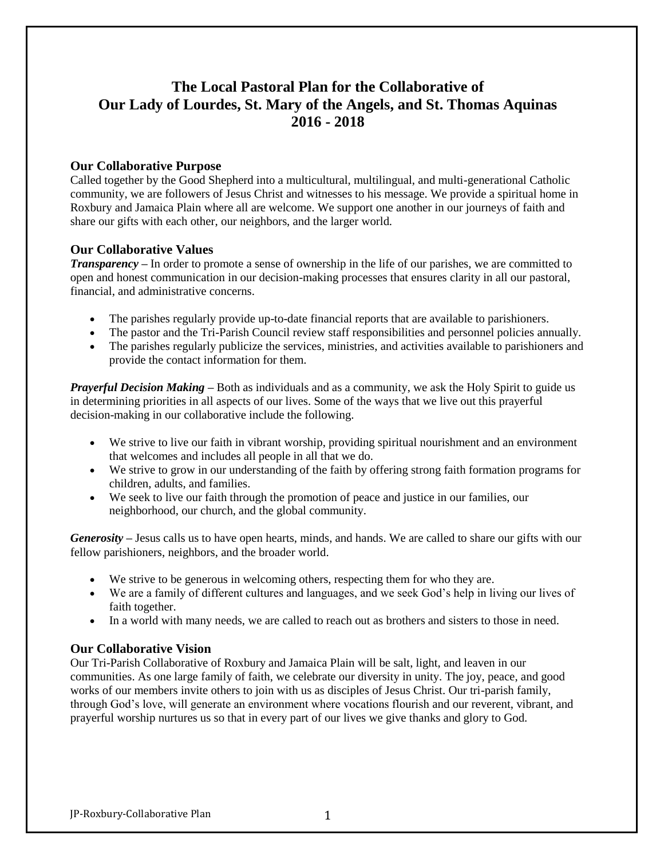# **The Local Pastoral Plan for the Collaborative of Our Lady of Lourdes, St. Mary of the Angels, and St. Thomas Aquinas 2016 - 2018**

# **Our Collaborative Purpose**

Called together by the Good Shepherd into a multicultural, multilingual, and multi-generational Catholic community, we are followers of Jesus Christ and witnesses to his message. We provide a spiritual home in Roxbury and Jamaica Plain where all are welcome. We support one another in our journeys of faith and share our gifts with each other, our neighbors, and the larger world.

## **Our Collaborative Values**

*Transparency* **–** In order to promote a sense of ownership in the life of our parishes, we are committed to open and honest communication in our decision-making processes that ensures clarity in all our pastoral, financial, and administrative concerns.

- The parishes regularly provide up-to-date financial reports that are available to parishioners.
- The pastor and the Tri-Parish Council review staff responsibilities and personnel policies annually.
- The parishes regularly publicize the services, ministries, and activities available to parishioners and provide the contact information for them.

*Prayerful Decision Making* **–** Both as individuals and as a community, we ask the Holy Spirit to guide us in determining priorities in all aspects of our lives. Some of the ways that we live out this prayerful decision-making in our collaborative include the following.

- We strive to live our faith in vibrant worship, providing spiritual nourishment and an environment that welcomes and includes all people in all that we do.
- We strive to grow in our understanding of the faith by offering strong faith formation programs for children, adults, and families.
- We seek to live our faith through the promotion of peace and justice in our families, our neighborhood, our church, and the global community.

*Generosity* **–** Jesus calls us to have open hearts, minds, and hands. We are called to share our gifts with our fellow parishioners, neighbors, and the broader world.

- We strive to be generous in welcoming others, respecting them for who they are.
- We are a family of different cultures and languages, and we seek God's help in living our lives of faith together.
- In a world with many needs, we are called to reach out as brothers and sisters to those in need.

# **Our Collaborative Vision**

Our Tri-Parish Collaborative of Roxbury and Jamaica Plain will be salt, light, and leaven in our communities. As one large family of faith, we celebrate our diversity in unity. The joy, peace, and good works of our members invite others to join with us as disciples of Jesus Christ. Our tri-parish family, through God's love, will generate an environment where vocations flourish and our reverent, vibrant, and prayerful worship nurtures us so that in every part of our lives we give thanks and glory to God.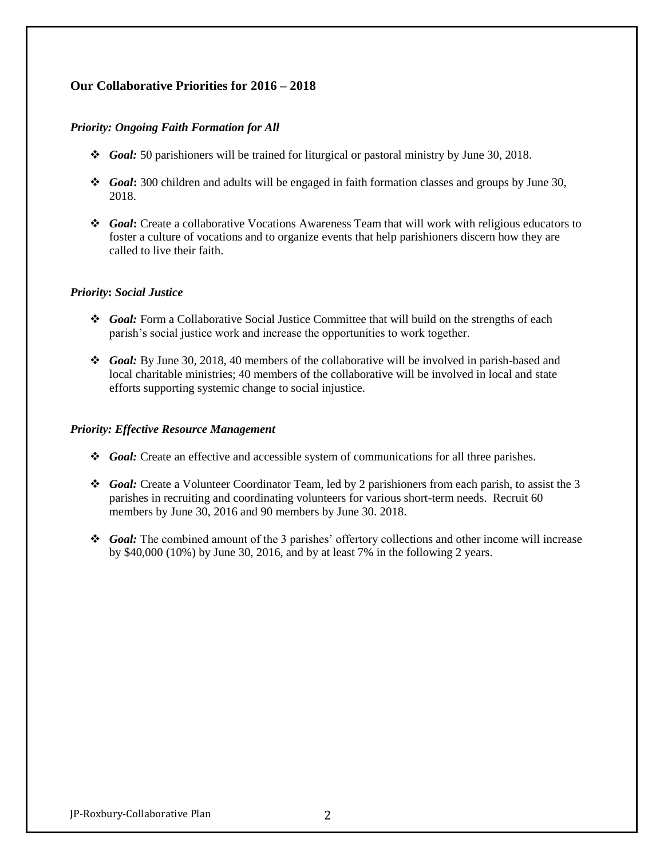# **Our Collaborative Priorities for 2016 – 2018**

#### *Priority: Ongoing Faith Formation for All*

- *Goal:* 50 parishioners will be trained for liturgical or pastoral ministry by June 30, 2018.
- *Goal***:** 300 children and adults will be engaged in faith formation classes and groups by June 30, 2018.
- *Goal***:** Create a collaborative Vocations Awareness Team that will work with religious educators to foster a culture of vocations and to organize events that help parishioners discern how they are called to live their faith.

#### *Priority***:** *Social Justice*

- *Goal:* Form a Collaborative Social Justice Committee that will build on the strengths of each parish's social justice work and increase the opportunities to work together.
- *Goal:* By June 30, 2018, 40 members of the collaborative will be involved in parish-based and local charitable ministries; 40 members of the collaborative will be involved in local and state efforts supporting systemic change to social injustice.

#### *Priority: Effective Resource Management*

- *Goal:* Create an effective and accessible system of communications for all three parishes.
- *Goal:* Create a Volunteer Coordinator Team, led by 2 parishioners from each parish, to assist the 3 parishes in recruiting and coordinating volunteers for various short-term needs. Recruit 60 members by June 30, 2016 and 90 members by June 30. 2018.
- *Goal:* The combined amount of the 3 parishes' offertory collections and other income will increase by \$40,000 (10%) by June 30, 2016, and by at least 7% in the following 2 years.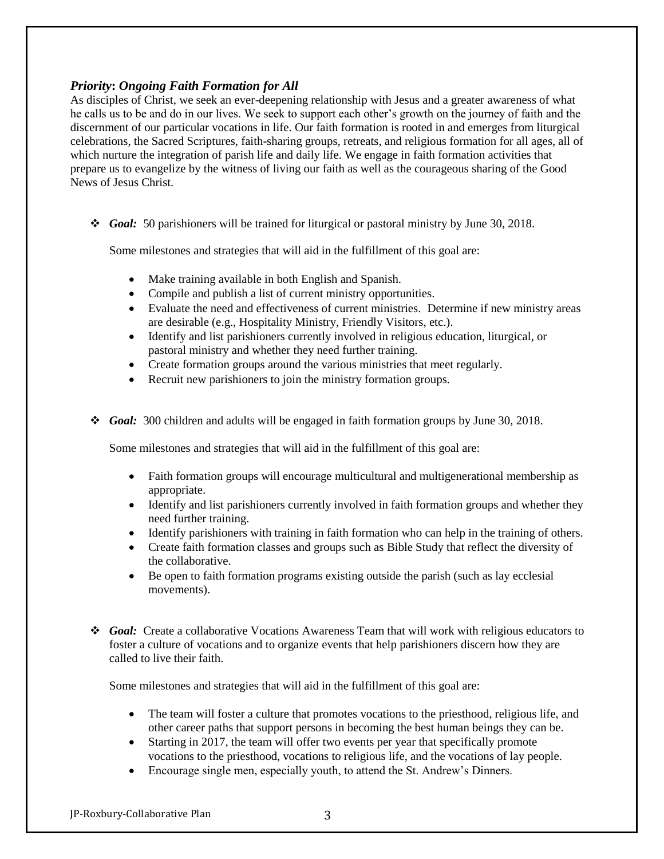## *Priority***:** *Ongoing Faith Formation for All*

As disciples of Christ, we seek an ever-deepening relationship with Jesus and a greater awareness of what he calls us to be and do in our lives. We seek to support each other's growth on the journey of faith and the discernment of our particular vocations in life. Our faith formation is rooted in and emerges from liturgical celebrations, the Sacred Scriptures, faith-sharing groups, retreats, and religious formation for all ages, all of which nurture the integration of parish life and daily life. We engage in faith formation activities that prepare us to evangelize by the witness of living our faith as well as the courageous sharing of the Good News of Jesus Christ.

*Goal:* 50 parishioners will be trained for liturgical or pastoral ministry by June 30, 2018.

Some milestones and strategies that will aid in the fulfillment of this goal are:

- Make training available in both English and Spanish.
- Compile and publish a list of current ministry opportunities.
- Evaluate the need and effectiveness of current ministries. Determine if new ministry areas are desirable (e.g., Hospitality Ministry, Friendly Visitors, etc.).
- Identify and list parishioners currently involved in religious education, liturgical, or pastoral ministry and whether they need further training.
- Create formation groups around the various ministries that meet regularly.
- Recruit new parishioners to join the ministry formation groups.
- *Goal:* 300 children and adults will be engaged in faith formation groups by June 30, 2018.

Some milestones and strategies that will aid in the fulfillment of this goal are:

- Faith formation groups will encourage multicultural and multigenerational membership as appropriate.
- Identify and list parishioners currently involved in faith formation groups and whether they need further training.
- Identify parishioners with training in faith formation who can help in the training of others.
- Create faith formation classes and groups such as Bible Study that reflect the diversity of the collaborative.
- Be open to faith formation programs existing outside the parish (such as lay ecclesial movements).
- *Goal:* Create a collaborative Vocations Awareness Team that will work with religious educators to foster a culture of vocations and to organize events that help parishioners discern how they are called to live their faith.

Some milestones and strategies that will aid in the fulfillment of this goal are:

- The team will foster a culture that promotes vocations to the priesthood, religious life, and other career paths that support persons in becoming the best human beings they can be.
- Starting in 2017, the team will offer two events per year that specifically promote vocations to the priesthood, vocations to religious life, and the vocations of lay people.
- Encourage single men, especially youth, to attend the St. Andrew's Dinners.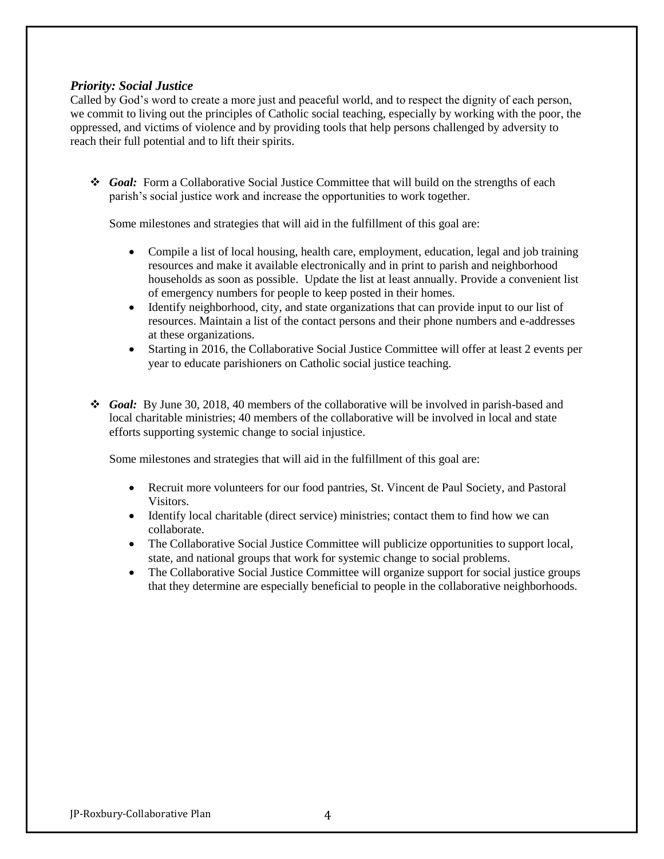### *Priority: Social Justice*

Called by God's word to create a more just and peaceful world, and to respect the dignity of each person, we commit to living out the principles of Catholic social teaching, especially by working with the poor, the oppressed, and victims of violence and by providing tools that help persons challenged by adversity to reach their full potential and to lift their spirits.

◆ *Goal:* Form a Collaborative Social Justice Committee that will build on the strengths of each parish's social justice work and increase the opportunities to work together.

Some milestones and strategies that will aid in the fulfillment of this goal are:

- Compile a list of local housing, health care, employment, education, legal and job training resources and make it available electronically and in print to parish and neighborhood households as soon as possible. Update the list at least annually. Provide a convenient list of emergency numbers for people to keep posted in their homes.
- Identify neighborhood, city, and state organizations that can provide input to our list of resources. Maintain a list of the contact persons and their phone numbers and e-addresses at these organizations.
- Starting in 2016, the Collaborative Social Justice Committee will offer at least 2 events per year to educate parishioners on Catholic social justice teaching.
- *Goal:* By June 30, 2018, 40 members of the collaborative will be involved in parish-based and local charitable ministries; 40 members of the collaborative will be involved in local and state efforts supporting systemic change to social injustice.

Some milestones and strategies that will aid in the fulfillment of this goal are:

- Recruit more volunteers for our food pantries, St. Vincent de Paul Society, and Pastoral Visitors.
- Identify local charitable (direct service) ministries; contact them to find how we can collaborate.
- The Collaborative Social Justice Committee will publicize opportunities to support local, state, and national groups that work for systemic change to social problems.
- The Collaborative Social Justice Committee will organize support for social justice groups that they determine are especially beneficial to people in the collaborative neighborhoods.